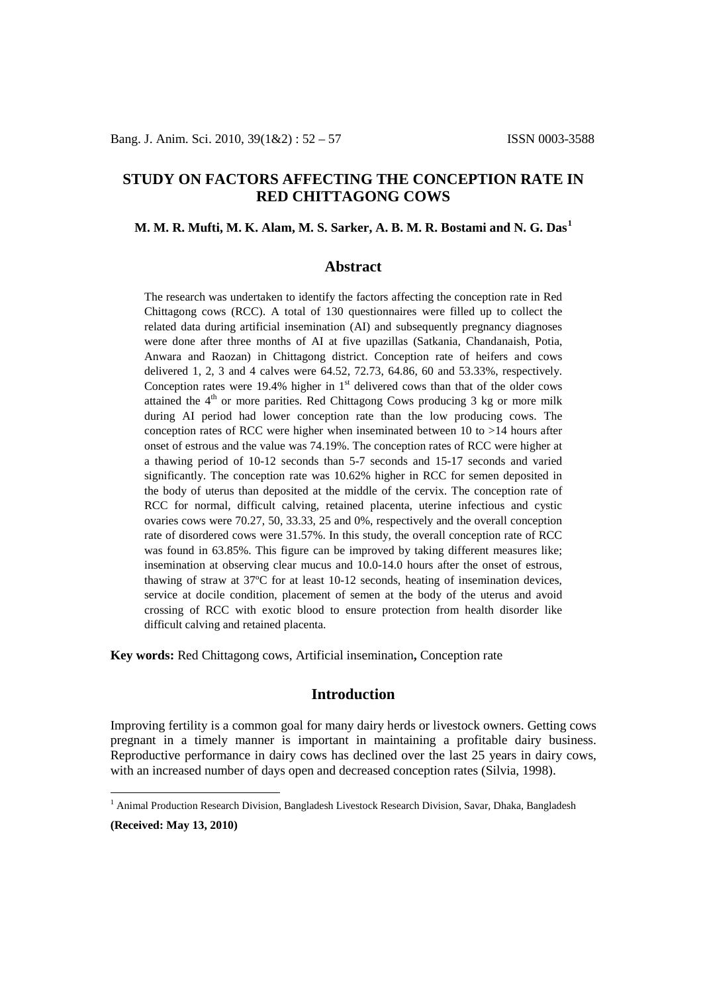# **STUDY ON FACTORS AFFECTING THE CONCEPTION RATE IN RED CHITTAGONG COWS**

## **M. M. R. Mufti, M. K. Alam, M. S. Sarker, A. B. M. R. Bostami and N. G. Das[1](#page-0-0)**

## **Abstract**

The research was undertaken to identify the factors affecting the conception rate in Red Chittagong cows (RCC). A total of 130 questionnaires were filled up to collect the related data during artificial insemination (AI) and subsequently pregnancy diagnoses were done after three months of AI at five upazillas (Satkania, Chandanaish, Potia, Anwara and Raozan) in Chittagong district. Conception rate of heifers and cows delivered 1, 2, 3 and 4 calves were 64.52, 72.73, 64.86, 60 and 53.33%, respectively. Conception rates were 19.4% higher in  $1<sup>st</sup>$  delivered cows than that of the older cows attained the  $4<sup>th</sup>$  or more parities. Red Chittagong Cows producing 3 kg or more milk during AI period had lower conception rate than the low producing cows. The conception rates of RCC were higher when inseminated between 10 to >14 hours after onset of estrous and the value was 74.19%. The conception rates of RCC were higher at a thawing period of 10-12 seconds than 5-7 seconds and 15-17 seconds and varied significantly. The conception rate was 10.62% higher in RCC for semen deposited in the body of uterus than deposited at the middle of the cervix. The conception rate of RCC for normal, difficult calving, retained placenta, uterine infectious and cystic ovaries cows were 70.27, 50, 33.33, 25 and 0%, respectively and the overall conception rate of disordered cows were 31.57%. In this study, the overall conception rate of RCC was found in 63.85%. This figure can be improved by taking different measures like; insemination at observing clear mucus and 10.0-14.0 hours after the onset of estrous, thawing of straw at 37ºC for at least 10-12 seconds, heating of insemination devices, service at docile condition, placement of semen at the body of the uterus and avoid crossing of RCC with exotic blood to ensure protection from health disorder like difficult calving and retained placenta.

**Key words:** Red Chittagong cows, Artificial insemination**,** Conception rate

# **Introduction**

Improving fertility is a common goal for many dairy herds or livestock owners. Getting cows pregnant in a timely manner is important in maintaining a profitable dairy business. Reproductive performance in dairy cows has declined over the last 25 years in dairy cows, with an increased number of days open and decreased conception rates (Silvia, 1998).

**(Received: May 13, 2010)**

<span id="page-0-0"></span><sup>&</sup>lt;sup>1</sup> Animal Production Research Division, Bangladesh Livestock Research Division, Savar, Dhaka, Bangladesh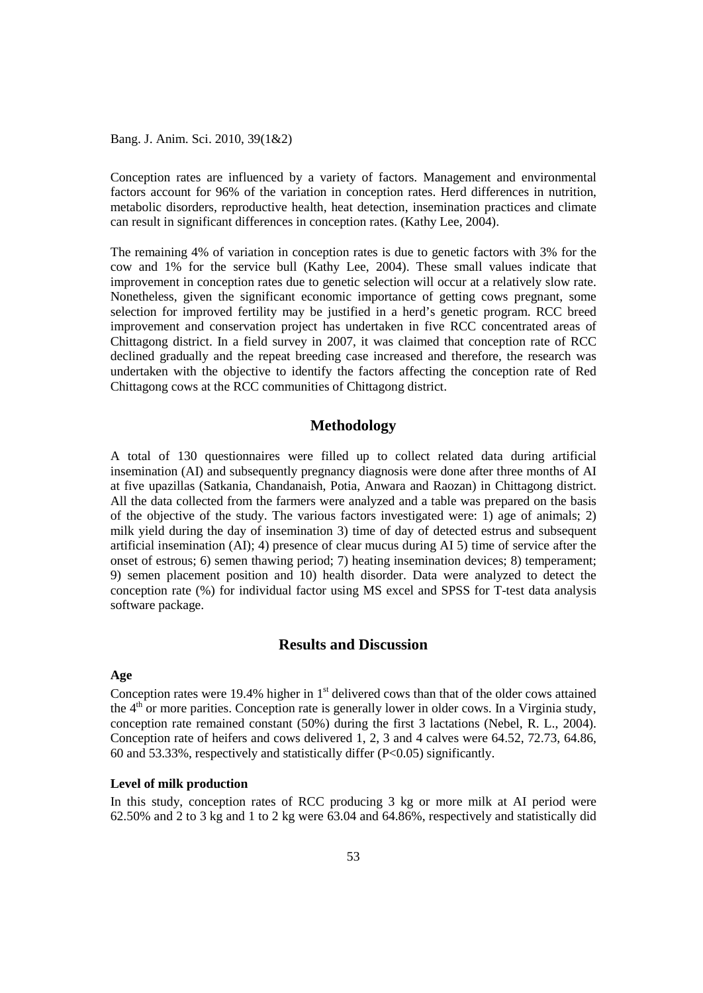Bang. J. Anim. Sci. 2010, 39(1&2)

Conception rates are influenced by a variety of factors. Management and environmental factors account for 96% of the variation in conception rates. Herd differences in nutrition, metabolic disorders, reproductive health, heat detection, insemination practices and climate can result in significant differences in conception rates. (Kathy Lee, 2004).

The remaining 4% of variation in conception rates is due to genetic factors with 3% for the cow and 1% for the service bull (Kathy Lee, 2004). These small values indicate that improvement in conception rates due to genetic selection will occur at a relatively slow rate. Nonetheless, given the significant economic importance of getting cows pregnant, some selection for improved fertility may be justified in a herd's genetic program. RCC breed improvement and conservation project has undertaken in five RCC concentrated areas of Chittagong district. In a field survey in 2007, it was claimed that conception rate of RCC declined gradually and the repeat breeding case increased and therefore, the research was undertaken with the objective to identify the factors affecting the conception rate of Red Chittagong cows at the RCC communities of Chittagong district.

## **Methodology**

A total of 130 questionnaires were filled up to collect related data during artificial insemination (AI) and subsequently pregnancy diagnosis were done after three months of AI at five upazillas (Satkania, Chandanaish, Potia, Anwara and Raozan) in Chittagong district. All the data collected from the farmers were analyzed and a table was prepared on the basis of the objective of the study. The various factors investigated were: 1) age of animals; 2) milk yield during the day of insemination 3) time of day of detected estrus and subsequent artificial insemination (AI); 4) presence of clear mucus during AI 5) time of service after the onset of estrous; 6) semen thawing period; 7) heating insemination devices; 8) temperament; 9) semen placement position and 10) health disorder. Data were analyzed to detect the conception rate (%) for individual factor using MS excel and SPSS for T-test data analysis software package.

## **Results and Discussion**

### **Age**

Conception rates were 19.4% higher in  $1<sup>st</sup>$  delivered cows than that of the older cows attained the  $4<sup>th</sup>$  or more parities. Conception rate is generally lower in older cows. In a Virginia study, conception rate remained constant (50%) during the first 3 lactations (Nebel, R. L., 2004). Conception rate of heifers and cows delivered 1, 2, 3 and 4 calves were 64.52, 72.73, 64.86, 60 and 53.33%, respectively and statistically differ (P<0.05) significantly.

#### **Level of milk production**

In this study, conception rates of RCC producing 3 kg or more milk at AI period were 62.50% and 2 to 3 kg and 1 to 2 kg were 63.04 and 64.86%, respectively and statistically did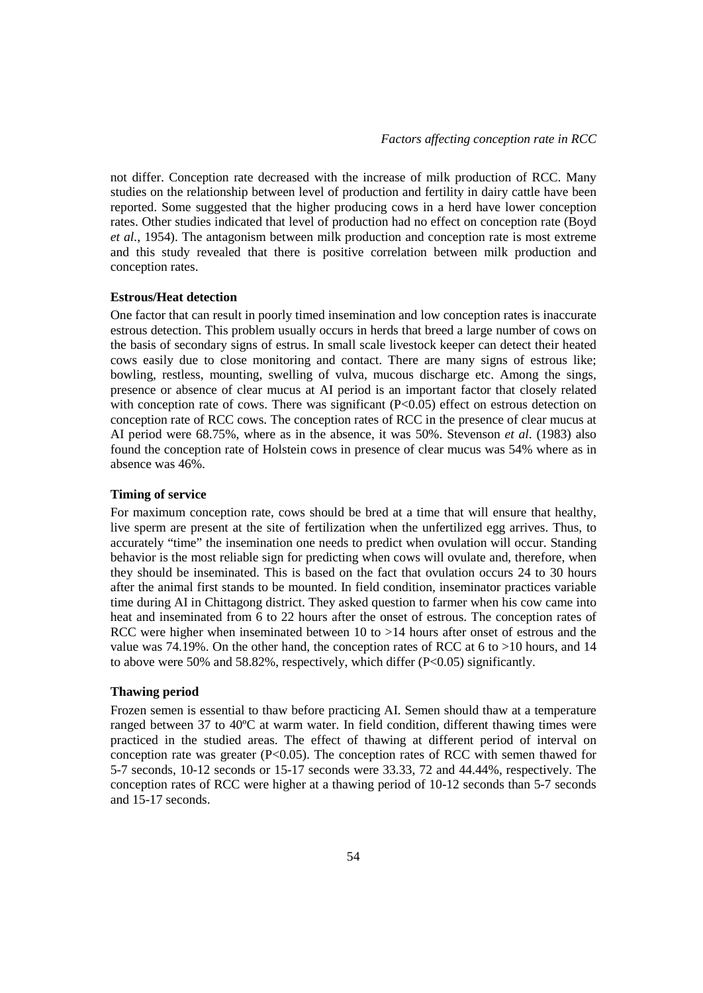not differ. Conception rate decreased with the increase of milk production of RCC. Many studies on the relationship between level of production and fertility in dairy cattle have been reported. Some suggested that the higher producing cows in a herd have lower conception rates. Other studies indicated that level of production had no effect on conception rate (Boyd *et al.*, 1954). The antagonism between milk production and conception rate is most extreme and this study revealed that there is positive correlation between milk production and conception rates.

#### **Estrous/Heat detection**

One factor that can result in poorly timed insemination and low conception rates is inaccurate estrous detection. This problem usually occurs in herds that breed a large number of cows on the basis of secondary signs of estrus. In small scale livestock keeper can detect their heated cows easily due to close monitoring and contact. There are many signs of estrous like; bowling, restless, mounting, swelling of vulva, mucous discharge etc. Among the sings, presence or absence of clear mucus at AI period is an important factor that closely related with conception rate of cows. There was significant  $(P<0.05)$  effect on estrous detection on conception rate of RCC cows. The conception rates of RCC in the presence of clear mucus at AI period were 68.75%, where as in the absence, it was 50%. Stevenson *et al*. (1983) also found the conception rate of Holstein cows in presence of clear mucus was 54% where as in absence was 46%.

### **Timing of service**

For maximum conception rate, cows should be bred at a time that will ensure that healthy, live sperm are present at the site of fertilization when the unfertilized egg arrives. Thus, to accurately "time" the insemination one needs to predict when ovulation will occur. Standing behavior is the most reliable sign for predicting when cows will ovulate and, therefore, when they should be inseminated. This is based on the fact that ovulation occurs 24 to 30 hours after the animal first stands to be mounted. In field condition, inseminator practices variable time during AI in Chittagong district. They asked question to farmer when his cow came into heat and inseminated from 6 to 22 hours after the onset of estrous. The conception rates of RCC were higher when inseminated between 10 to >14 hours after onset of estrous and the value was 74.19%. On the other hand, the conception rates of RCC at 6 to >10 hours, and 14 to above were 50% and 58.82%, respectively, which differ  $(P<0.05)$  significantly.

#### **Thawing period**

Frozen semen is essential to thaw before practicing AI. Semen should thaw at a temperature ranged between 37 to 40ºC at warm water. In field condition, different thawing times were practiced in the studied areas. The effect of thawing at different period of interval on conception rate was greater  $(P<0.05)$ . The conception rates of RCC with semen thawed for 5-7 seconds, 10-12 seconds or 15-17 seconds were 33.33, 72 and 44.44%, respectively. The conception rates of RCC were higher at a thawing period of 10-12 seconds than 5-7 seconds and 15-17 seconds.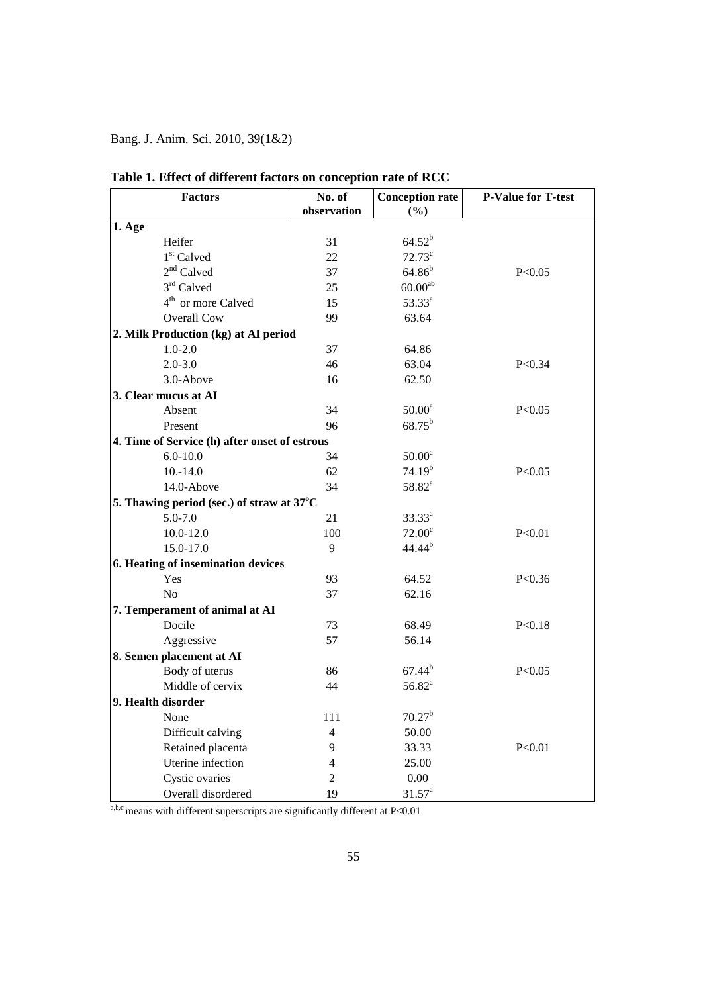Bang. J. Anim. Sci. 2010, 39(1&2)

| <b>Factors</b>                                | No. of<br>observation | <b>Conception rate</b><br>(%) | <b>P-Value for T-test</b> |
|-----------------------------------------------|-----------------------|-------------------------------|---------------------------|
| $1.$ Age                                      |                       |                               |                           |
| Heifer                                        | 31                    | $64.52^{b}$                   |                           |
| 1 <sup>st</sup> Calved                        | 22                    | $72.73^c$                     |                           |
| $2nd$ Calved                                  | 37                    | $64.86^{b}$                   | P<0.05                    |
| 3rd Calved                                    | 25                    | 60.00 <sup>ab</sup>           |                           |
| 4 <sup>th</sup> or more Calved                | 15                    | 53.33 <sup>a</sup>            |                           |
| <b>Overall Cow</b>                            | 99                    | 63.64                         |                           |
| 2. Milk Production (kg) at AI period          |                       |                               |                           |
| $1.0 - 2.0$                                   | 37                    | 64.86                         |                           |
| $2.0 - 3.0$                                   | 46                    | 63.04                         | P < 0.34                  |
| 3.0-Above                                     | 16                    | 62.50                         |                           |
| 3. Clear mucus at AI                          |                       |                               |                           |
| Absent                                        | 34                    | 50.00 <sup>a</sup>            | P < 0.05                  |
| Present                                       | 96                    | $68.75^{b}$                   |                           |
| 4. Time of Service (h) after onset of estrous |                       |                               |                           |
| $6.0 - 10.0$                                  | 34                    | 50.00 <sup>a</sup>            |                           |
| $10.-14.0$                                    | 62                    | 74.19 <sup>b</sup>            | P < 0.05                  |
| 14.0-Above                                    | 34                    | $58.82^{a}$                   |                           |
| 5. Thawing period (sec.) of straw at 37°C     |                       |                               |                           |
| $5.0 - 7.0$                                   | 21                    | $33.33^{a}$                   |                           |
| $10.0 - 12.0$                                 | 100                   | 72.00 <sup>c</sup>            | P<0.01                    |
| 15.0-17.0                                     | 9                     | $44.44^{b}$                   |                           |
| 6. Heating of insemination devices            |                       |                               |                           |
| Yes                                           | 93                    | 64.52                         | P < 0.36                  |
| N <sub>o</sub>                                | 37                    | 62.16                         |                           |
| 7. Temperament of animal at AI                |                       |                               |                           |
| Docile                                        | 73                    | 68.49                         | P < 0.18                  |
| Aggressive                                    | 57                    | 56.14                         |                           |
| 8. Semen placement at AI                      |                       |                               |                           |
| Body of uterus                                | 86                    | $67.44^{b}$                   | P < 0.05                  |
| Middle of cervix                              | 44                    | $56.82^{a}$                   |                           |
| 9. Health disorder                            |                       |                               |                           |
| None                                          | 111                   | 70.27 <sup>b</sup>            |                           |
| Difficult calving                             | $\overline{4}$        | 50.00                         |                           |
| Retained placenta                             | 9                     | 33.33                         | P < 0.01                  |
| Uterine infection                             | 4                     | 25.00                         |                           |
| Cystic ovaries                                | 2                     | 0.00                          |                           |
| Overall disordered                            | 19                    | 31.57 <sup>a</sup>            |                           |

# **Table 1. Effect of different factors on conception rate of RCC**

a,b,c means with different superscripts are significantly different at  $P<0.01$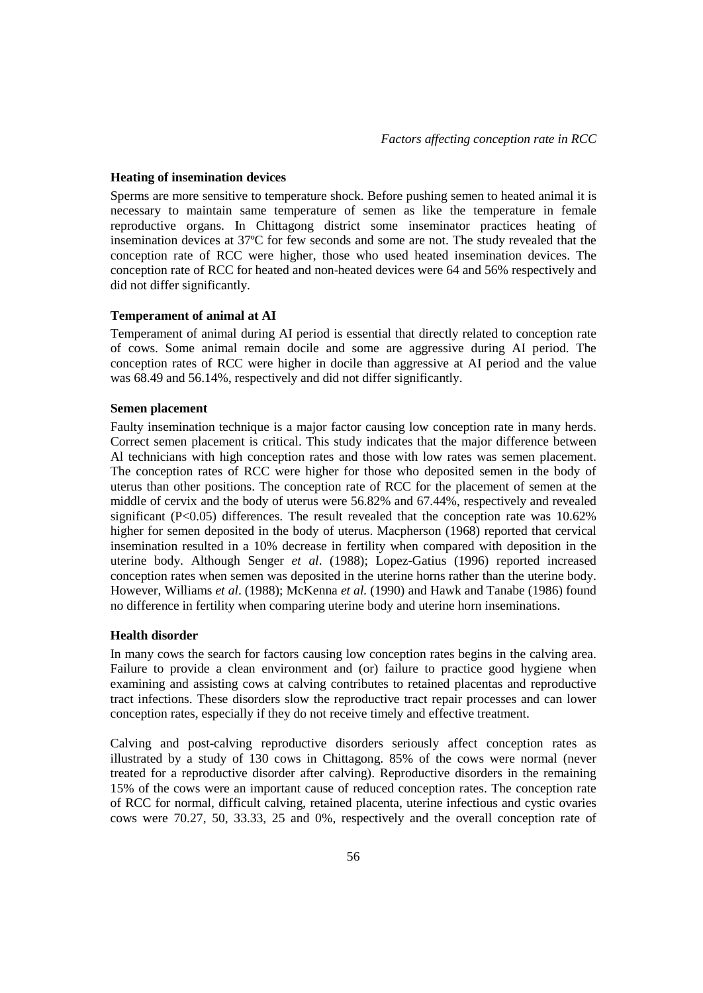#### **Heating of insemination devices**

Sperms are more sensitive to temperature shock. Before pushing semen to heated animal it is necessary to maintain same temperature of semen as like the temperature in female reproductive organs. In Chittagong district some inseminator practices heating of insemination devices at 37ºC for few seconds and some are not. The study revealed that the conception rate of RCC were higher, those who used heated insemination devices. The conception rate of RCC for heated and non-heated devices were 64 and 56% respectively and did not differ significantly.

### **Temperament of animal at AI**

Temperament of animal during AI period is essential that directly related to conception rate of cows. Some animal remain docile and some are aggressive during AI period. The conception rates of RCC were higher in docile than aggressive at AI period and the value was 68.49 and 56.14%, respectively and did not differ significantly.

#### **Semen placement**

Faulty insemination technique is a major factor causing low conception rate in many herds. Correct semen placement is critical. This study indicates that the major difference between Al technicians with high conception rates and those with low rates was semen placement. The conception rates of RCC were higher for those who deposited semen in the body of uterus than other positions. The conception rate of RCC for the placement of semen at the middle of cervix and the body of uterus were 56.82% and 67.44%, respectively and revealed significant (P<0.05) differences. The result revealed that the conception rate was 10.62% higher for semen deposited in the body of uterus. Macpherson (1968) reported that cervical insemination resulted in a 10% decrease in fertility when compared with deposition in the uterine body. Although Senger *et al*. (1988); Lopez-Gatius (1996) reported increased conception rates when semen was deposited in the uterine horns rather than the uterine body. However, Williams *et al*. (1988); McKenna *et al.* (1990) and Hawk and Tanabe (1986) found no difference in fertility when comparing uterine body and uterine horn inseminations.

#### **Health disorder**

In many cows the search for factors causing low conception rates begins in the calving area. Failure to provide a clean environment and (or) failure to practice good hygiene when examining and assisting cows at calving contributes to retained placentas and reproductive tract infections. These disorders slow the reproductive tract repair processes and can lower conception rates, especially if they do not receive timely and effective treatment.

Calving and post-calving reproductive disorders seriously affect conception rates as illustrated by a study of 130 cows in Chittagong. 85% of the cows were normal (never treated for a reproductive disorder after calving). Reproductive disorders in the remaining 15% of the cows were an important cause of reduced conception rates. The conception rate of RCC for normal, difficult calving, retained placenta, uterine infectious and cystic ovaries cows were 70.27, 50, 33.33, 25 and 0%, respectively and the overall conception rate of